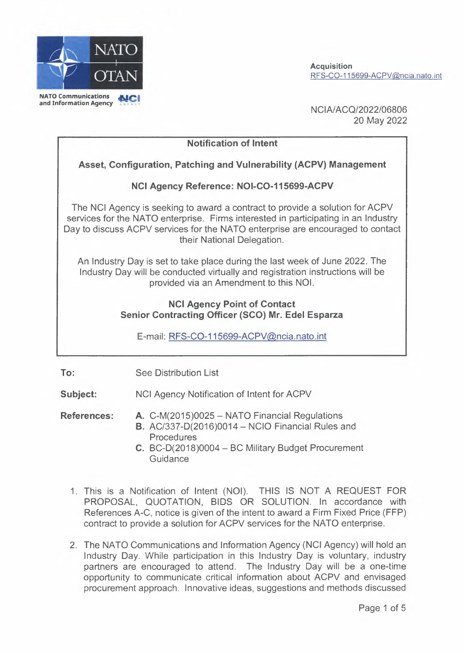

**Acquisition** RFS-C0-115699-ACPV@ncia. nato. int

NCIN ACQ/2022/06806 20 May 2022

**Notification of Intent Asset, Configuration, Patching and Vulnerability (ACPV) Management NCI Agency Reference: NOI-C0-115699-ACPV**  The NCI Agency is seeking to award a contract to provide a solution for ACPV services for the NATO enterprise. Firms interested in participating in an Industry Day to discuss ACPV services for the NATO enterprise are encouraged to contact their National Delegation. An Industry Day is set to take place during the last week of June 2022. The Industry Day will be conducted virtually and registration instructions will be provided via an Amendment to this NOi. **NCI Agency Point of Contact Senior Contracting Officer (SCO) Mr. Edel Esparza** 

E-mail: RFS-C0-115699-ACPV@ncia.nato.int

**To:**  See Distribution List

**Subject:**  NCI Agency Notification of Intent for ACPV

**References:**  A. C-M(2015)0025 - NATO Financial Regulations **B.** AC/337-D(2016)0014 - NCIO Financial Rules and Procedures

- C. BC-D(2018)0004 BC Military Budget Procurement **Guidance**
- 1. This is a Notification of Intent (NOi). THIS IS NOT A REQUEST FOR PROPOSAL, QUOTATION, BIDS OR SOLUTION. ln accordance with References A-C, notice is given of the intent to award a Firm Fixed Price (FFP) contract to provide a solution for ACPV services for the NATO enterprise.
- 2. The NATO Communications and Information Agency (NCI Agency) will hold an Industry Day. While participation in this Industry Day is voluntary, industry partners are encouraged to attend. The Industry Day will be a one-time opportunity to communicate critical information about ACPV and envisaged procurement approach. Innovative ideas, suggestions and methods discussed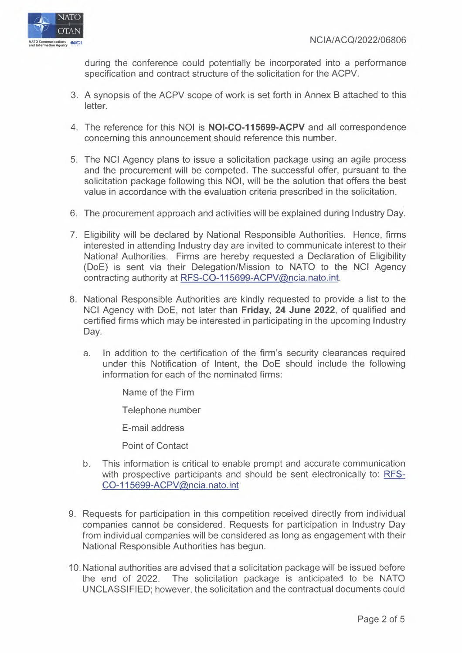during the conference could potentially be incorporated into a performance specification and contract structure of the solicitation for the ACPV.

- 3. A synopsis of the ACPV scope of work is set forth in Annex 8 attached to this letter.
- 4. The reference for this NOi is **NOI-CO-115699-ACPV** and all correspondence concerning this announcement should reference this number.
- 5. The NCI Agency plans to issue a solicitation package using an agile process and the procurement will be competed. The successful offer, pursuant to the solicitation package following this NOI, will be the solution that offers the best value in accordance with the evaluation criteria prescribed in the solicitation.
- 6. The procurement approach and activities will be explained during Industry Day.
- 7. Eligibility will be declared by National Responsible Authorities. Hence, firms interested in attending Industry day are invited to communicate interest to their National Authorities. Firms are hereby requested a Declaration of Eligibility (DoE) is sent via their Delegation/Mission to NATO to the NCI Agency contracting authority at RFS-C0-115699-ACPV@ncia.nato.int.
- 8. National Responsible Authorities are kindly requested to provide a list to the NCI Agency with DoE, not later than **Friday, 24 June 2022,** of qualified and certified firms which may be interested in participating in the upcoming Industry Day.
	- a. ln addition to the certification of the firm's security clearances required under this Notification of Intent, the DoE should include the following information for each of the nominated firms:

Name of the Firm

Telephone number

E-mail address

Point of Contact

- b. This information is critical to enable prompt and accurate communication with prospective participants and should be sent electronically to: RFS-C0-115699-ACPV@ncia.nato.int
- 9. Requests for participation in this competition received directly from individual companies cannot be considered. Requests for participation in Industry Day from individual companies will be considered as long as engagement with their National Responsible Authorities has begun.
- <sup>1</sup>O. National authorities are advised that a solicitation package will be issued before the end of 2022. The solicitation package is anticipated to be NATO UNCLASSIFIED; however, the solicitation and the contractual documents could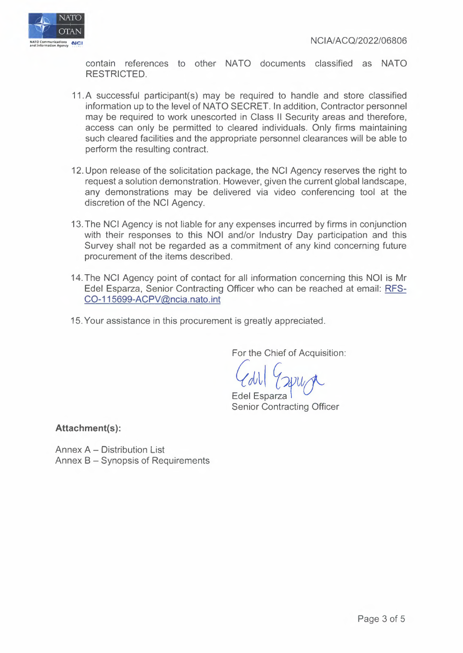

contain references to other NATO documents classified as NATO RESTRICTED.

- 11.A successful participant(s) may be required to handle and store classified information up to the level of NATO SECRET. ln addition, Contractor personnel may be required to work unescorted in Class 11 Security areas and therefore, access can only be permitted to cleared individuals. Only firms maintaining such cleared facilities and the appropriate personnel clearances will be able to perform the resulting contract.
- 12. Upon release of the solicitation package, the NCI Agency reserves the right to request a solution demonstration. However, given the current global landscape, any demonstrations may be delivered via video conferencing tool at the discretion of the NCI Agency.
- 13. The NCI Agency is not liable for any expenses incurred by firms in conjunction with their responses to this NOI and/or Industry Day participation and this Survey shall not be regarded as a commitment of any kind concerning future procurement of the items described.
- 14. The NCI Agency point of contact for all information concerning this NOi is Mr Edel Esparza, Senior Contracting Officer who can be reached at email: RFS-C0-115699-ACPV@ncia.nato.int
- 15. Your assistance in this procurement is greatly appreciated.

For the Chief of Acquisition:

For the Chief of Acquisition<br>
CON COUNCE<br>
Edel Esparza<br>
Senior Contracting Officer

**Attachment(s):** 

Annex A - Distribution List Annex B - Synopsis of Requirements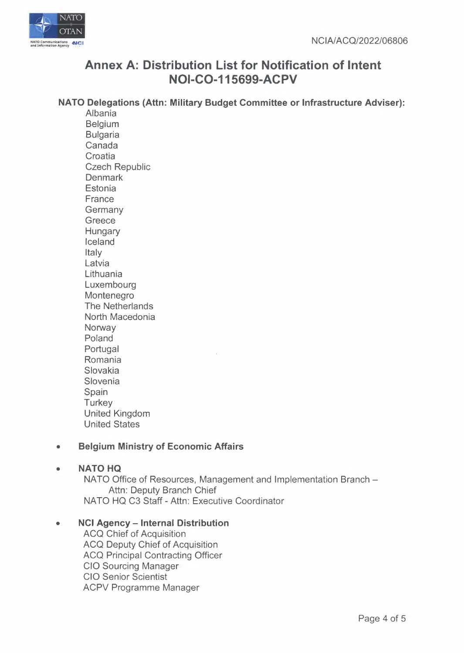

## **Annex A: Distribution List for Notification of Intent NOI-C0-115699-ACPV**

#### **NATO Delegations (Attn: Military Budget Committee or Infrastructure Adviser):**

Albania Belgium Bulgaria Canada **Croatia** Czech Republic **Denmark Estonia** France **Germany Greece Hungary** Iceland Italy Latvia **Lithuania** Luxembourg Montenegro The Netherlands North Macedonia **Norway** Poland Portugal Romania Slovakia **Slovenia** Spain **Turkey** United Kingdom United States

## **• Belgium Ministry of Economic Affairs**

#### **• NATO HQ**

NATO Office of Resources, Management and Implementation Branch -Attn: Deputy Branch Chief NATO HQ C3 Staff - Attn: Executive Coordinator

## **• NCI Agency - Internal Distribution**

ACQ Chief of Acquisition ACQ Deputy Chief of Acquisition ACQ Principal Contracting Officer CIO Sourcing Manager CIO Senior Scientist ACPV Programme Manager